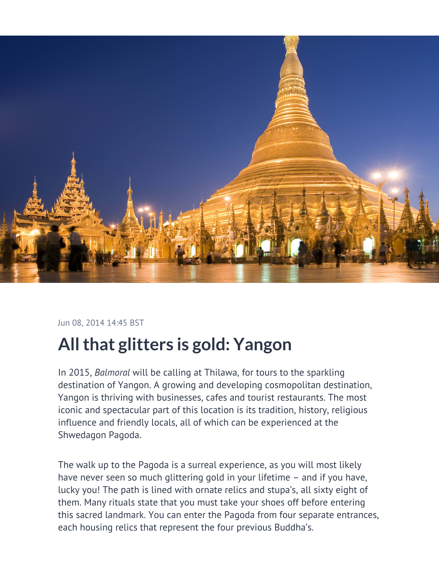

Jun 08, 2014 14:45 BST

## **All that glitters is gold: Yangon**

In 2015, *Balmoral* will be calling at Thilawa, for tours to the sparkling destination of Yangon. A growing and developing cosmopolitan destination, Yangon is thriving with businesses, cafes and tourist restaurants. The most iconic and spectacular part of this location is its tradition, history, religious influence and friendly locals, all of which can be experienced at the Shwedagon Pagoda.

The walk up to the Pagoda is a surreal experience, as you will most likely have never seen so much glittering gold in your lifetime – and if you have, lucky you! The path is lined with ornate relics and stupa's, all sixty eight of them. Many rituals state that you must take your shoes off before entering this sacred landmark. You can enter the Pagoda from four separate entrances, each housing relics that represent the four previous Buddha's.